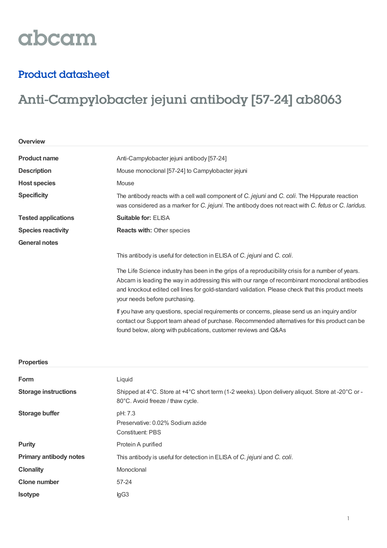# abcam

### Product datasheet

**Storage buffer** pH: 7.3

**Purity** Protein A purified

**Clonality** Monoclonal

**Clone number** 57-24

**Isotype** IgG3

## Anti-Campylobacter jejuni antibody [57-24] ab8063

| Overview                    |                                                                                                                                                                                                                                                                                                                                             |  |  |
|-----------------------------|---------------------------------------------------------------------------------------------------------------------------------------------------------------------------------------------------------------------------------------------------------------------------------------------------------------------------------------------|--|--|
| <b>Product name</b>         | Anti-Campylobacter jejuni antibody [57-24]                                                                                                                                                                                                                                                                                                  |  |  |
| <b>Description</b>          | Mouse monoclonal [57-24] to Campylobacter jejuni                                                                                                                                                                                                                                                                                            |  |  |
| <b>Host species</b>         | Mouse                                                                                                                                                                                                                                                                                                                                       |  |  |
| <b>Specificity</b>          | The antibody reacts with a cell wall component of C. jejuni and C. coli. The Hippurate reaction<br>was considered as a marker for C. jejuni. The antibody does not react with C. fetus or C. laridus.                                                                                                                                       |  |  |
| <b>Tested applications</b>  | <b>Suitable for: ELISA</b>                                                                                                                                                                                                                                                                                                                  |  |  |
| <b>Species reactivity</b>   | <b>Reacts with: Other species</b>                                                                                                                                                                                                                                                                                                           |  |  |
| <b>General notes</b>        |                                                                                                                                                                                                                                                                                                                                             |  |  |
|                             | This antibody is useful for detection in ELISA of C. jejuni and C. coli.                                                                                                                                                                                                                                                                    |  |  |
|                             | The Life Science industry has been in the grips of a reproducibility crisis for a number of years.<br>Abcam is leading the way in addressing this with our range of recombinant monoclonal antibodies<br>and knockout edited cell lines for gold-standard validation. Please check that this product meets<br>your needs before purchasing. |  |  |
|                             | If you have any questions, special requirements or concerns, please send us an inquiry and/or<br>contact our Support team ahead of purchase. Recommended alternatives for this product can be<br>found below, along with publications, customer reviews and Q&As                                                                            |  |  |
| <b>Properties</b>           |                                                                                                                                                                                                                                                                                                                                             |  |  |
| Form                        | Liquid                                                                                                                                                                                                                                                                                                                                      |  |  |
| <b>Storage instructions</b> | Shipped at 4°C. Store at +4°C short term (1-2 weeks). Upon delivery aliquot. Store at -20°C or -<br>80°C. Avoid freeze / thaw cycle.                                                                                                                                                                                                        |  |  |

Preservative: 0.02% Sodium azide

**Primary antibody notes** This antibody is useful for detection in ELISA of *C. jejuni* and *C. coli*.

Constituent: PBS